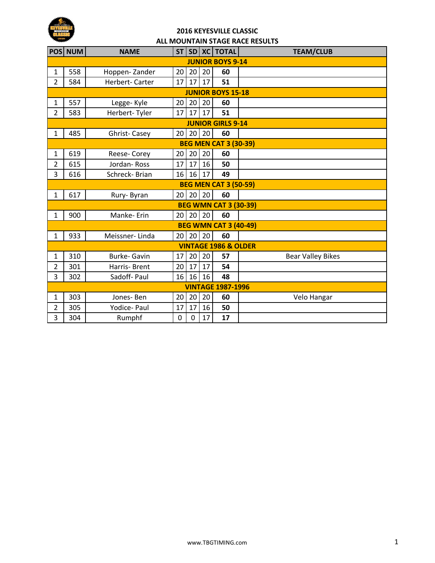

## **2016 KEYESVILLE CLASSIC ALL MOUNTAIN STAGE RACE RESULTS**

|                                 | POS NUM                      | <b>NAME</b>         | ST              |                |    | SD XC TOTAL                  | <b>TEAM/CLUB</b>         |  |  |  |
|---------------------------------|------------------------------|---------------------|-----------------|----------------|----|------------------------------|--------------------------|--|--|--|
| <b>JUNIOR BOYS 9-14</b>         |                              |                     |                 |                |    |                              |                          |  |  |  |
| 1                               | 558                          | Hoppen-Zander       | 20 <sup>1</sup> | 20             | 20 | 60                           |                          |  |  |  |
| 2                               | 584                          | Herbert-Carter      | 17              | 17             | 17 | 51                           |                          |  |  |  |
|                                 | <b>JUNIOR BOYS 15-18</b>     |                     |                 |                |    |                              |                          |  |  |  |
| 1                               | 557                          | Legge-Kyle          | 20 <sub>1</sub> | 20             | 20 | 60                           |                          |  |  |  |
| $\overline{2}$                  | 583                          | Herbert-Tyler       | 17              | 17             | 17 | 51                           |                          |  |  |  |
| <b>JUNIOR GIRLS 9-14</b>        |                              |                     |                 |                |    |                              |                          |  |  |  |
| $\mathbf{1}$                    | 485                          | <b>Ghrist-Casey</b> |                 | 20 20          | 20 | 60                           |                          |  |  |  |
|                                 | <b>BEG MEN CAT 3 (30-39)</b> |                     |                 |                |    |                              |                          |  |  |  |
| 1                               | 619                          | Reese-Corey         | 20              | 20             | 20 | 60                           |                          |  |  |  |
| $\overline{2}$                  | 615                          | Jordan-Ross         | 17              | 17             | 16 | 50                           |                          |  |  |  |
| 3                               | 616                          | Schreck-Brian       | 16              | 16             | 17 | 49                           |                          |  |  |  |
|                                 | <b>BEG MEN CAT 3 (50-59)</b> |                     |                 |                |    |                              |                          |  |  |  |
| 1                               | 617                          | Rury-Byran          | 20              | 20             | 20 | 60                           |                          |  |  |  |
|                                 |                              |                     |                 |                |    | <b>BEG WMN CAT 3 (30-39)</b> |                          |  |  |  |
| $\mathbf{1}$                    | 900                          | Manke-Erin          |                 | $20$   20   20 |    | 60                           |                          |  |  |  |
|                                 |                              |                     |                 |                |    | <b>BEG WMN CAT 3 (40-49)</b> |                          |  |  |  |
| 1                               | 933                          | Meissner-Linda      | 20 <sup>1</sup> | 20             | 20 | 60                           |                          |  |  |  |
| <b>VINTAGE 1986 &amp; OLDER</b> |                              |                     |                 |                |    |                              |                          |  |  |  |
| 1                               | 310                          | Burke- Gavin        | 17              | 20             | 20 | 57                           | <b>Bear Valley Bikes</b> |  |  |  |
| 2                               | 301                          | Harris-Brent        | 20              | 17             | 17 | 54                           |                          |  |  |  |
| 3                               | 302                          | Sadoff-Paul         | 16              | 16             | 16 | 48                           |                          |  |  |  |
| <b>VINTAGE 1987-1996</b>        |                              |                     |                 |                |    |                              |                          |  |  |  |
| 1                               | 303                          | Jones-Ben           | 20 <sub>1</sub> | 20             | 20 | 60                           | Velo Hangar              |  |  |  |
| 2                               | 305                          | Yodice- Paul        | 17              | 17             | 16 | 50                           |                          |  |  |  |
| 3                               | 304                          | Rumphf              | $\overline{0}$  | 0              | 17 | 17                           |                          |  |  |  |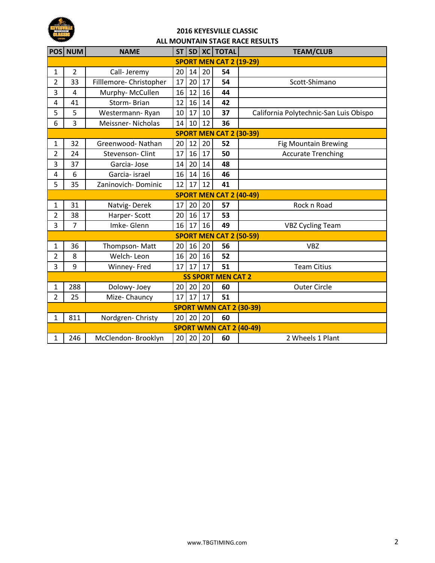

## **2016 KEYESVILLE CLASSIC ALL MOUNTAIN STAGE RACE RESULTS**

|                                | POS NUM                        | <b>NAME</b>             | <b>ST</b> |    |    | SD   XC   TOTAL                | <b>TEAM/CLUB</b>                       |  |  |
|--------------------------------|--------------------------------|-------------------------|-----------|----|----|--------------------------------|----------------------------------------|--|--|
| <b>SPORT MEN CAT 2 (19-29)</b> |                                |                         |           |    |    |                                |                                        |  |  |
| $\mathbf{1}$                   | $\overline{2}$                 | Call- Jeremy            | 20        | 14 | 20 | 54                             |                                        |  |  |
| 2                              | 33                             | Filllemore- Christopher | 17        | 20 | 17 | 54                             | Scott-Shimano                          |  |  |
| 3                              | 4                              | Murphy-McCullen         | 16        | 12 | 16 | 44                             |                                        |  |  |
| 4                              | 41                             | Storm-Brian             | 12        | 16 | 14 | 42                             |                                        |  |  |
| 5                              | 5                              | Westermann-Ryan         | 10        | 17 | 10 | 37                             | California Polytechnic-San Luis Obispo |  |  |
| 6                              | 3                              | Meissner-Nicholas       | 14        | 10 | 12 | 36                             |                                        |  |  |
| <b>SPORT MEN CAT 2 (30-39)</b> |                                |                         |           |    |    |                                |                                        |  |  |
| $\mathbf{1}$                   | 32                             | Greenwood-Nathan        | 20        | 12 | 20 | 52                             | <b>Fig Mountain Brewing</b>            |  |  |
| 2                              | 24                             | <b>Stevenson-Clint</b>  | 17        | 16 | 17 | 50                             | <b>Accurate Trenching</b>              |  |  |
| 3                              | 37                             | Garcia-Jose             | 14        | 20 | 14 | 48                             |                                        |  |  |
| 4                              | 6                              | Garcia- israel          | 16        | 14 | 16 | 46                             |                                        |  |  |
| 5                              | 35                             | Zaninovich-Dominic      | 12        | 17 | 12 | 41                             |                                        |  |  |
|                                | <b>SPORT MEN CAT 2 (40-49)</b> |                         |           |    |    |                                |                                        |  |  |
| 1                              | 31                             | Natvig-Derek            | 17        | 20 | 20 | 57                             | Rock n Road                            |  |  |
| $\overline{2}$                 | 38                             | Harper-Scott            | 20        | 16 | 17 | 53                             |                                        |  |  |
| 3                              | $\overline{7}$                 | Imke-Glenn              | 16        | 17 | 16 | 49                             | <b>VBZ Cycling Team</b>                |  |  |
|                                |                                |                         |           |    |    | <b>SPORT MEN CAT 2 (50-59)</b> |                                        |  |  |
| 1                              | 36                             | Thompson-Matt           | 20        | 16 | 20 | 56                             | <b>VBZ</b>                             |  |  |
| $\overline{2}$                 | 8                              | Welch-Leon              | 16        | 20 | 16 | 52                             |                                        |  |  |
| 3                              | 9                              | Winney-Fred             | 17        | 17 | 17 | 51                             | <b>Team Citius</b>                     |  |  |
| <b>SS SPORT MEN CAT 2</b>      |                                |                         |           |    |    |                                |                                        |  |  |
| $\mathbf{1}$                   | 288                            | Dolowy- Joey            | 20        | 20 | 20 | 60                             | <b>Outer Circle</b>                    |  |  |
| $\overline{2}$                 | 25                             | Mize-Chauncy            | 17        | 17 | 17 | 51                             |                                        |  |  |
| <b>SPORT WMN CAT 2 (30-39)</b> |                                |                         |           |    |    |                                |                                        |  |  |
| $\mathbf{1}$                   | 811                            | Nordgren-Christy        | 20        | 20 | 20 | 60                             |                                        |  |  |
|                                |                                |                         |           |    |    | <b>SPORT WMN CAT 2 (40-49)</b> |                                        |  |  |
| 1                              | 246                            | McClendon-Brooklyn      | 20        | 20 | 20 | 60                             | 2 Wheels 1 Plant                       |  |  |